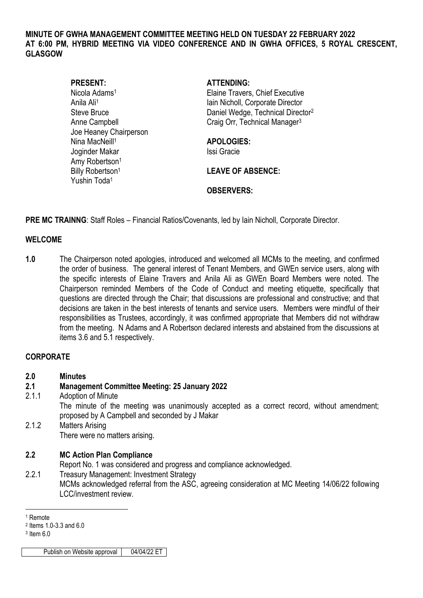#### **MINUTE OF GWHA MANAGEMENT COMMITTEE MEETING HELD ON TUESDAY 22 FEBRUARY 2022 AT 6:00 PM, HYBRID MEETING VIA VIDEO CONFERENCE AND IN GWHA OFFICES, 5 ROYAL CRESCENT, GLASGOW**

| <b>PRESENT:</b>              |
|------------------------------|
| Nicola Adams <sup>1</sup>    |
| Anila Ali <sup>1</sup>       |
| <b>Steve Bruce</b>           |
| <b>Anne Campbell</b>         |
| Joe Heaney Chairperson       |
| Nina MacNeill <sup>1</sup>   |
| Joginder Makar               |
| Amy Robertson <sup>1</sup>   |
| Billy Robertson <sup>1</sup> |
| Yushin Toda <sup>1</sup>     |

**PRESENT: ATTENDING:**

Elaine Travers, Chief Executive Iain Nicholl, Corporate Director Daniel Wedge, Technical Director<sup>2</sup> Craig Orr, Technical Manager<sup>3</sup>

Nina MacNeill<sup>1</sup> **APOLOGIES:** Issi Gracie

**LEAVE OF ABSENCE:** 

## **OBSERVERS:**

**PRE MC TRAINNG**: Staff Roles – Financial Ratios/Covenants, led by Iain Nicholl, Corporate Director.

### **WELCOME**

**1.0** The Chairperson noted apologies, introduced and welcomed all MCMs to the meeting, and confirmed the order of business. The general interest of Tenant Members, and GWEn service users, along with the specific interests of Elaine Travers and Anila Ali as GWEn Board Members were noted. The Chairperson reminded Members of the Code of Conduct and meeting etiquette, specifically that questions are directed through the Chair; that discussions are professional and constructive; and that decisions are taken in the best interests of tenants and service users. Members were mindful of their responsibilities as Trustees, accordingly, it was confirmed appropriate that Members did not withdraw from the meeting. N Adams and A Robertson declared interests and abstained from the discussions at items 3.6 and 5.1 respectively.

# **CORPORATE**

**2.0 Minutes**

### **2.1 Management Committee Meeting: 25 January 2022**

2.1.1 Adoption of Minute

The minute of the meeting was unanimously accepted as a correct record, without amendment; proposed by A Campbell and seconded by J Makar

2.1.2 Matters Arising There were no matters arising.

### **2.2 MC Action Plan Compliance**

Report No. 1 was considered and progress and compliance acknowledged.

2.2.1 Treasury Management: Investment Strategy MCMs acknowledged referral from the ASC, agreeing consideration at MC Meeting 14/06/22 following LCC/investment review.

<u>.</u>

Publish on Website approval 04/04/22 ET

<sup>1</sup> Remote

<sup>2</sup> Items 1.0-3.3 and 6.0

<sup>3</sup> Item 6.0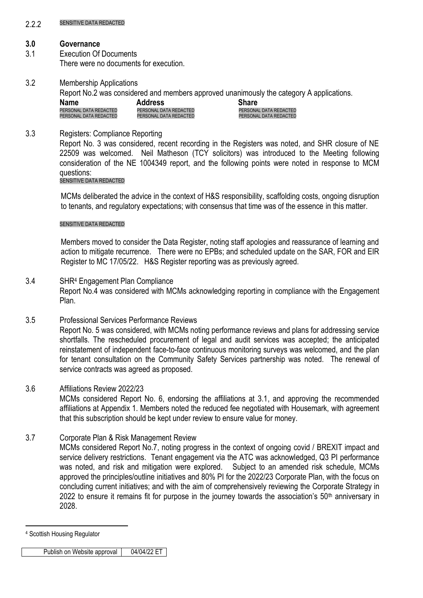#### 2.2.2.2 SENSITIVE DATA REDACTED

## **3.0 Governance**

- 3.1 Execution Of Documents There were no documents for execution.
- 3.2 Membership Applications

Report No.2 was considered and members approved unanimously the category A applications.

| <b>Name</b>            | <b>Address</b>         | <b>Share</b>           |
|------------------------|------------------------|------------------------|
| PERSONAL DATA REDACTED | PERSONAL DATA REDACTED | PERSONAL DATA REDACTED |
| PERSONAL DATA REDACTED | PERSONAL DATA REDACTED | PERSONAL DATA REDACTED |

# 3.3 Registers: Compliance Reporting

Report No. 3 was considered, recent recording in the Registers was noted, and SHR closure of NE 22509 was welcomed. Neil Matheson (TCY solicitors) was introduced to the Meeting following consideration of the NE 1004349 report, and the following points were noted in response to MCM questions:

# SENSITIVE DATA REDACTED

MCMs deliberated the advice in the context of H&S responsibility, scaffolding costs, ongoing disruption to tenants, and regulatory expectations; with consensus that time was of the essence in this matter.

## SENSITIVE DATA REDACTED

Members moved to consider the Data Register, noting staff apologies and reassurance of learning and action to mitigate recurrence. There were no EPBs; and scheduled update on the SAR, FOR and EIR Register to MC 17/05/22. H&S Register reporting was as previously agreed.

# 3.4 SHR<sup>4</sup> Engagement Plan Compliance Report No.4 was considered with MCMs acknowledging reporting in compliance with the Engagement Plan.

3.5 Professional Services Performance Reviews Report No. 5 was considered, with MCMs noting performance reviews and plans for addressing service shortfalls. The rescheduled procurement of legal and audit services was accepted; the anticipated reinstatement of independent face-to-face continuous monitoring surveys was welcomed, and the plan for tenant consultation on the Community Safety Services partnership was noted. The renewal of service contracts was agreed as proposed.

# 3.6 Affiliations Review 2022/23

MCMs considered Report No. 6, endorsing the affiliations at 3.1, and approving the recommended affiliations at Appendix 1. Members noted the reduced fee negotiated with Housemark, with agreement that this subscription should be kept under review to ensure value for money.

3.7 Corporate Plan & Risk Management Review

MCMs considered Report No.7, noting progress in the context of ongoing covid / BREXIT impact and service delivery restrictions. Tenant engagement via the ATC was acknowledged, Q3 PI performance was noted, and risk and mitigation were explored. Subject to an amended risk schedule, MCMs approved the principles/outline initiatives and 80% PI for the 2022/23 Corporate Plan, with the focus on concluding current initiatives; and with the aim of comprehensively reviewing the Corporate Strategy in 2022 to ensure it remains fit for purpose in the journey towards the association's  $50<sup>th</sup>$  anniversary in 2028.

<sup>1</sup> <sup>4</sup> Scottish Housing Regulator